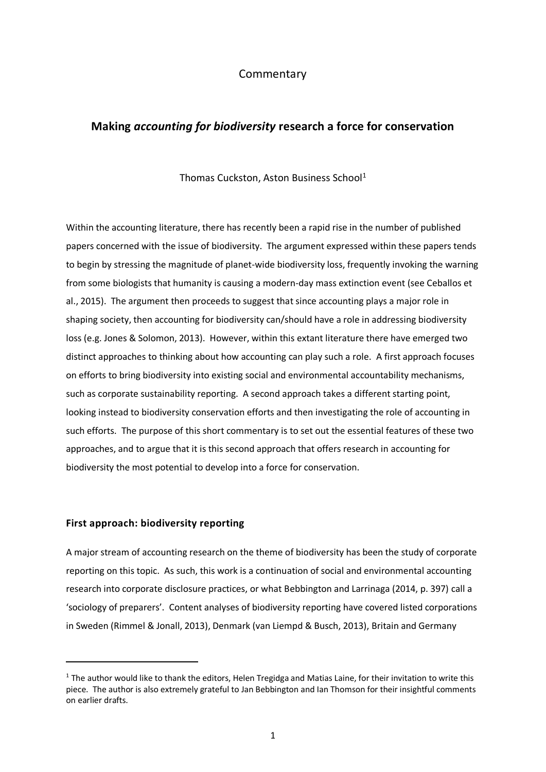## **Commentary**

# **Making** *accounting for biodiversity* **research a force for conservation**

### Thomas Cuckston, Aston Business School<sup>1</sup>

Within the accounting literature, there has recently been a rapid rise in the number of published papers concerned with the issue of biodiversity. The argument expressed within these papers tends to begin by stressing the magnitude of planet-wide biodiversity loss, frequently invoking the warning from some biologists that humanity is causing a modern-day mass extinction event (see Ceballos et al., 2015). The argument then proceeds to suggest that since accounting plays a major role in shaping society, then accounting for biodiversity can/should have a role in addressing biodiversity loss (e.g. Jones & Solomon, 2013). However, within this extant literature there have emerged two distinct approaches to thinking about how accounting can play such a role. A first approach focuses on efforts to bring biodiversity into existing social and environmental accountability mechanisms, such as corporate sustainability reporting. A second approach takes a different starting point, looking instead to biodiversity conservation efforts and then investigating the role of accounting in such efforts. The purpose of this short commentary is to set out the essential features of these two approaches, and to argue that it is this second approach that offers research in accounting for biodiversity the most potential to develop into a force for conservation.

### **First approach: biodiversity reporting**

**.** 

A major stream of accounting research on the theme of biodiversity has been the study of corporate reporting on this topic. As such, this work is a continuation of social and environmental accounting research into corporate disclosure practices, or what Bebbington and Larrinaga (2014, p. 397) call a 'sociology of preparers'. Content analyses of biodiversity reporting have covered listed corporations in Sweden (Rimmel & Jonall, 2013), Denmark (van Liempd & Busch, 2013), Britain and Germany

 $1$  The author would like to thank the editors, Helen Tregidga and Matias Laine, for their invitation to write this piece. The author is also extremely grateful to Jan Bebbington and Ian Thomson for their insightful comments on earlier drafts.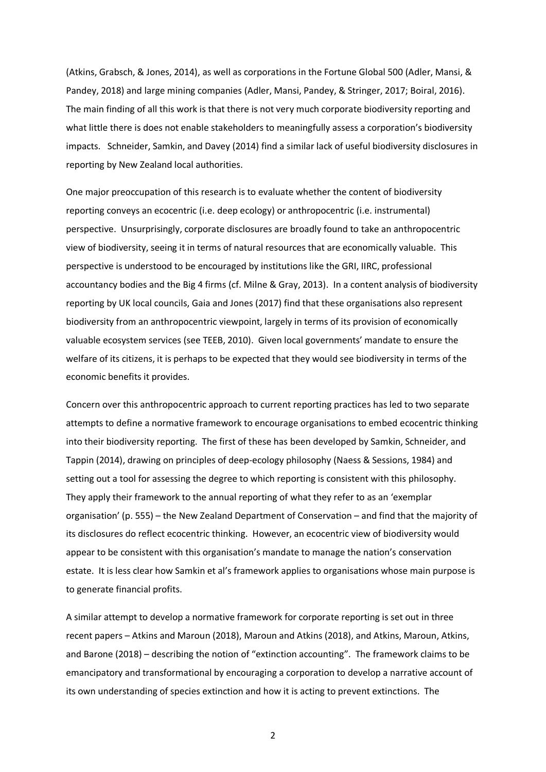(Atkins, Grabsch, & Jones, 2014), as well as corporations in the Fortune Global 500 (Adler, Mansi, & Pandey, 2018) and large mining companies (Adler, Mansi, Pandey, & Stringer, 2017; Boiral, 2016). The main finding of all this work is that there is not very much corporate biodiversity reporting and what little there is does not enable stakeholders to meaningfully assess a corporation's biodiversity impacts. Schneider, Samkin, and Davey (2014) find a similar lack of useful biodiversity disclosures in reporting by New Zealand local authorities.

One major preoccupation of this research is to evaluate whether the content of biodiversity reporting conveys an ecocentric (i.e. deep ecology) or anthropocentric (i.e. instrumental) perspective. Unsurprisingly, corporate disclosures are broadly found to take an anthropocentric view of biodiversity, seeing it in terms of natural resources that are economically valuable. This perspective is understood to be encouraged by institutions like the GRI, IIRC, professional accountancy bodies and the Big 4 firms (cf. Milne & Gray, 2013). In a content analysis of biodiversity reporting by UK local councils, Gaia and Jones (2017) find that these organisations also represent biodiversity from an anthropocentric viewpoint, largely in terms of its provision of economically valuable ecosystem services (see TEEB, 2010). Given local governments' mandate to ensure the welfare of its citizens, it is perhaps to be expected that they would see biodiversity in terms of the economic benefits it provides.

Concern over this anthropocentric approach to current reporting practices has led to two separate attempts to define a normative framework to encourage organisations to embed ecocentric thinking into their biodiversity reporting. The first of these has been developed by Samkin, Schneider, and Tappin (2014), drawing on principles of deep-ecology philosophy (Naess & Sessions, 1984) and setting out a tool for assessing the degree to which reporting is consistent with this philosophy. They apply their framework to the annual reporting of what they refer to as an 'exemplar organisation' (p. 555) – the New Zealand Department of Conservation – and find that the majority of its disclosures do reflect ecocentric thinking. However, an ecocentric view of biodiversity would appear to be consistent with this organisation's mandate to manage the nation's conservation estate. It is less clear how Samkin et al's framework applies to organisations whose main purpose is to generate financial profits.

A similar attempt to develop a normative framework for corporate reporting is set out in three recent papers – Atkins and Maroun (2018), Maroun and Atkins (2018), and Atkins, Maroun, Atkins, and Barone (2018) – describing the notion of "extinction accounting". The framework claims to be emancipatory and transformational by encouraging a corporation to develop a narrative account of its own understanding of species extinction and how it is acting to prevent extinctions. The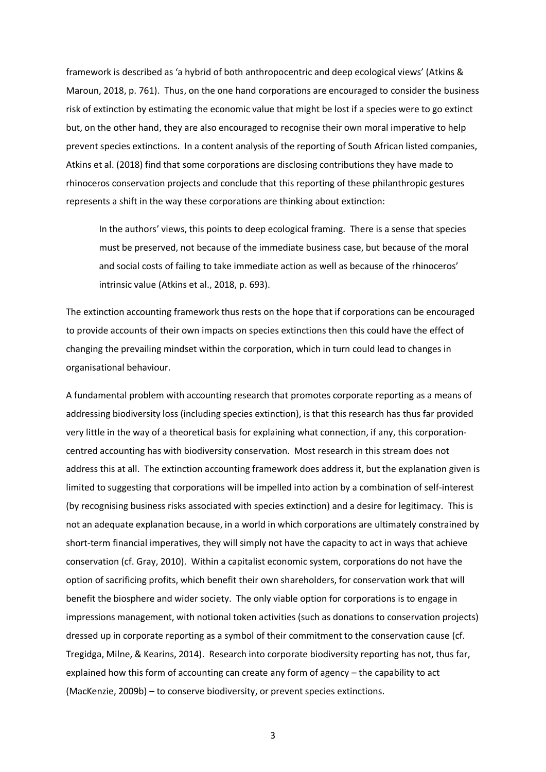framework is described as 'a hybrid of both anthropocentric and deep ecological views' (Atkins & Maroun, 2018, p. 761). Thus, on the one hand corporations are encouraged to consider the business risk of extinction by estimating the economic value that might be lost if a species were to go extinct but, on the other hand, they are also encouraged to recognise their own moral imperative to help prevent species extinctions. In a content analysis of the reporting of South African listed companies, Atkins et al. (2018) find that some corporations are disclosing contributions they have made to rhinoceros conservation projects and conclude that this reporting of these philanthropic gestures represents a shift in the way these corporations are thinking about extinction:

In the authors' views, this points to deep ecological framing. There is a sense that species must be preserved, not because of the immediate business case, but because of the moral and social costs of failing to take immediate action as well as because of the rhinoceros' intrinsic value (Atkins et al., 2018, p. 693).

The extinction accounting framework thus rests on the hope that if corporations can be encouraged to provide accounts of their own impacts on species extinctions then this could have the effect of changing the prevailing mindset within the corporation, which in turn could lead to changes in organisational behaviour.

A fundamental problem with accounting research that promotes corporate reporting as a means of addressing biodiversity loss (including species extinction), is that this research has thus far provided very little in the way of a theoretical basis for explaining what connection, if any, this corporationcentred accounting has with biodiversity conservation. Most research in this stream does not address this at all. The extinction accounting framework does address it, but the explanation given is limited to suggesting that corporations will be impelled into action by a combination of self-interest (by recognising business risks associated with species extinction) and a desire for legitimacy. This is not an adequate explanation because, in a world in which corporations are ultimately constrained by short-term financial imperatives, they will simply not have the capacity to act in ways that achieve conservation (cf. Gray, 2010). Within a capitalist economic system, corporations do not have the option of sacrificing profits, which benefit their own shareholders, for conservation work that will benefit the biosphere and wider society. The only viable option for corporations is to engage in impressions management, with notional token activities (such as donations to conservation projects) dressed up in corporate reporting as a symbol of their commitment to the conservation cause (cf. Tregidga, Milne, & Kearins, 2014). Research into corporate biodiversity reporting has not, thus far, explained how this form of accounting can create any form of agency – the capability to act (MacKenzie, 2009b) – to conserve biodiversity, or prevent species extinctions.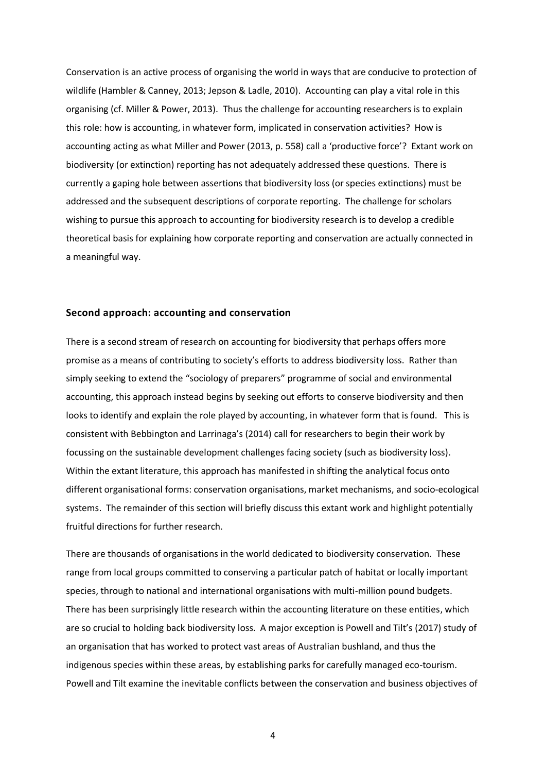Conservation is an active process of organising the world in ways that are conducive to protection of wildlife (Hambler & Canney, 2013; Jepson & Ladle, 2010). Accounting can play a vital role in this organising (cf. Miller & Power, 2013). Thus the challenge for accounting researchers is to explain this role: how is accounting, in whatever form, implicated in conservation activities? How is accounting acting as what Miller and Power (2013, p. 558) call a 'productive force'? Extant work on biodiversity (or extinction) reporting has not adequately addressed these questions. There is currently a gaping hole between assertions that biodiversity loss (or species extinctions) must be addressed and the subsequent descriptions of corporate reporting. The challenge for scholars wishing to pursue this approach to accounting for biodiversity research is to develop a credible theoretical basis for explaining how corporate reporting and conservation are actually connected in a meaningful way.

#### **Second approach: accounting and conservation**

There is a second stream of research on accounting for biodiversity that perhaps offers more promise as a means of contributing to society's efforts to address biodiversity loss. Rather than simply seeking to extend the "sociology of preparers" programme of social and environmental accounting, this approach instead begins by seeking out efforts to conserve biodiversity and then looks to identify and explain the role played by accounting, in whatever form that is found. This is consistent with Bebbington and Larrinaga's (2014) call for researchers to begin their work by focussing on the sustainable development challenges facing society (such as biodiversity loss). Within the extant literature, this approach has manifested in shifting the analytical focus onto different organisational forms: conservation organisations, market mechanisms, and socio-ecological systems. The remainder of this section will briefly discuss this extant work and highlight potentially fruitful directions for further research.

There are thousands of organisations in the world dedicated to biodiversity conservation. These range from local groups committed to conserving a particular patch of habitat or locally important species, through to national and international organisations with multi-million pound budgets. There has been surprisingly little research within the accounting literature on these entities, which are so crucial to holding back biodiversity loss. A major exception is Powell and Tilt's (2017) study of an organisation that has worked to protect vast areas of Australian bushland, and thus the indigenous species within these areas, by establishing parks for carefully managed eco-tourism. Powell and Tilt examine the inevitable conflicts between the conservation and business objectives of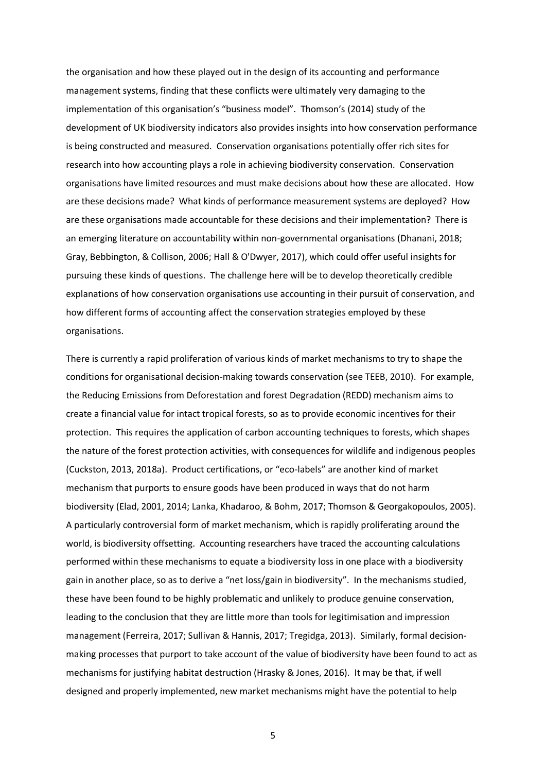the organisation and how these played out in the design of its accounting and performance management systems, finding that these conflicts were ultimately very damaging to the implementation of this organisation's "business model". Thomson's (2014) study of the development of UK biodiversity indicators also provides insights into how conservation performance is being constructed and measured. Conservation organisations potentially offer rich sites for research into how accounting plays a role in achieving biodiversity conservation. Conservation organisations have limited resources and must make decisions about how these are allocated. How are these decisions made? What kinds of performance measurement systems are deployed? How are these organisations made accountable for these decisions and their implementation? There is an emerging literature on accountability within non-governmental organisations (Dhanani, 2018; Gray, Bebbington, & Collison, 2006; Hall & O'Dwyer, 2017), which could offer useful insights for pursuing these kinds of questions. The challenge here will be to develop theoretically credible explanations of how conservation organisations use accounting in their pursuit of conservation, and how different forms of accounting affect the conservation strategies employed by these organisations.

There is currently a rapid proliferation of various kinds of market mechanisms to try to shape the conditions for organisational decision-making towards conservation (see TEEB, 2010). For example, the Reducing Emissions from Deforestation and forest Degradation (REDD) mechanism aims to create a financial value for intact tropical forests, so as to provide economic incentives for their protection. This requires the application of carbon accounting techniques to forests, which shapes the nature of the forest protection activities, with consequences for wildlife and indigenous peoples (Cuckston, 2013, 2018a). Product certifications, or "eco-labels" are another kind of market mechanism that purports to ensure goods have been produced in ways that do not harm biodiversity (Elad, 2001, 2014; Lanka, Khadaroo, & Bohm, 2017; Thomson & Georgakopoulos, 2005). A particularly controversial form of market mechanism, which is rapidly proliferating around the world, is biodiversity offsetting. Accounting researchers have traced the accounting calculations performed within these mechanisms to equate a biodiversity loss in one place with a biodiversity gain in another place, so as to derive a "net loss/gain in biodiversity". In the mechanisms studied, these have been found to be highly problematic and unlikely to produce genuine conservation, leading to the conclusion that they are little more than tools for legitimisation and impression management (Ferreira, 2017; Sullivan & Hannis, 2017; Tregidga, 2013). Similarly, formal decisionmaking processes that purport to take account of the value of biodiversity have been found to act as mechanisms for justifying habitat destruction (Hrasky & Jones, 2016). It may be that, if well designed and properly implemented, new market mechanisms might have the potential to help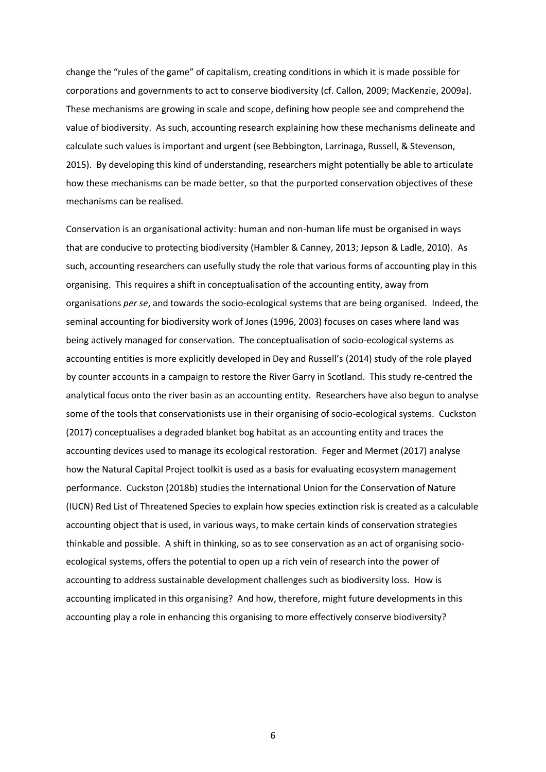change the "rules of the game" of capitalism, creating conditions in which it is made possible for corporations and governments to act to conserve biodiversity (cf. Callon, 2009; MacKenzie, 2009a). These mechanisms are growing in scale and scope, defining how people see and comprehend the value of biodiversity. As such, accounting research explaining how these mechanisms delineate and calculate such values is important and urgent (see Bebbington, Larrinaga, Russell, & Stevenson, 2015). By developing this kind of understanding, researchers might potentially be able to articulate how these mechanisms can be made better, so that the purported conservation objectives of these mechanisms can be realised.

Conservation is an organisational activity: human and non-human life must be organised in ways that are conducive to protecting biodiversity (Hambler & Canney, 2013; Jepson & Ladle, 2010). As such, accounting researchers can usefully study the role that various forms of accounting play in this organising. This requires a shift in conceptualisation of the accounting entity, away from organisations *per se*, and towards the socio-ecological systems that are being organised. Indeed, the seminal accounting for biodiversity work of Jones (1996, 2003) focuses on cases where land was being actively managed for conservation. The conceptualisation of socio-ecological systems as accounting entities is more explicitly developed in Dey and Russell's (2014) study of the role played by counter accounts in a campaign to restore the River Garry in Scotland. This study re-centred the analytical focus onto the river basin as an accounting entity. Researchers have also begun to analyse some of the tools that conservationists use in their organising of socio-ecological systems. Cuckston (2017) conceptualises a degraded blanket bog habitat as an accounting entity and traces the accounting devices used to manage its ecological restoration. Feger and Mermet (2017) analyse how the Natural Capital Project toolkit is used as a basis for evaluating ecosystem management performance. Cuckston (2018b) studies the International Union for the Conservation of Nature (IUCN) Red List of Threatened Species to explain how species extinction risk is created as a calculable accounting object that is used, in various ways, to make certain kinds of conservation strategies thinkable and possible. A shift in thinking, so as to see conservation as an act of organising socioecological systems, offers the potential to open up a rich vein of research into the power of accounting to address sustainable development challenges such as biodiversity loss. How is accounting implicated in this organising? And how, therefore, might future developments in this accounting play a role in enhancing this organising to more effectively conserve biodiversity?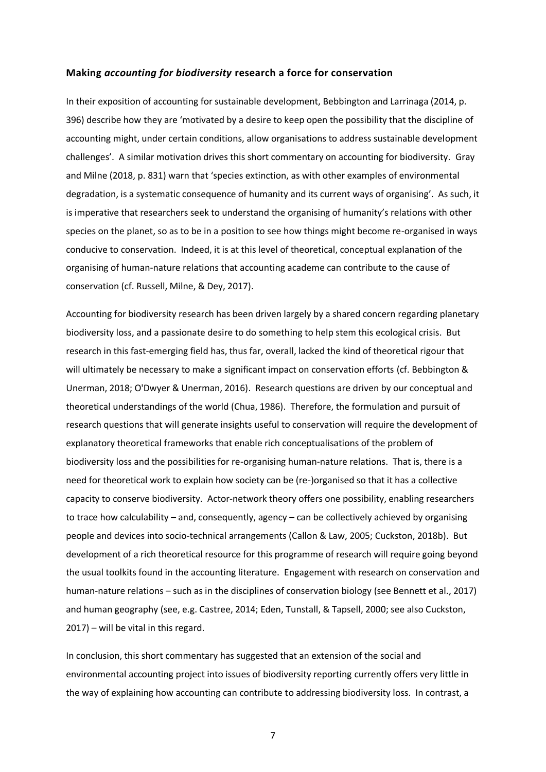#### **Making** *accounting for biodiversity* **research a force for conservation**

In their exposition of accounting for sustainable development, Bebbington and Larrinaga (2014, p. 396) describe how they are 'motivated by a desire to keep open the possibility that the discipline of accounting might, under certain conditions, allow organisations to address sustainable development challenges'. A similar motivation drives this short commentary on accounting for biodiversity. Gray and Milne (2018, p. 831) warn that 'species extinction, as with other examples of environmental degradation, is a systematic consequence of humanity and its current ways of organising'. As such, it is imperative that researchers seek to understand the organising of humanity's relations with other species on the planet, so as to be in a position to see how things might become re-organised in ways conducive to conservation. Indeed, it is at this level of theoretical, conceptual explanation of the organising of human-nature relations that accounting academe can contribute to the cause of conservation (cf. Russell, Milne, & Dey, 2017).

Accounting for biodiversity research has been driven largely by a shared concern regarding planetary biodiversity loss, and a passionate desire to do something to help stem this ecological crisis. But research in this fast-emerging field has, thus far, overall, lacked the kind of theoretical rigour that will ultimately be necessary to make a significant impact on conservation efforts (cf. Bebbington & Unerman, 2018; O'Dwyer & Unerman, 2016). Research questions are driven by our conceptual and theoretical understandings of the world (Chua, 1986). Therefore, the formulation and pursuit of research questions that will generate insights useful to conservation will require the development of explanatory theoretical frameworks that enable rich conceptualisations of the problem of biodiversity loss and the possibilities for re-organising human-nature relations. That is, there is a need for theoretical work to explain how society can be (re-)organised so that it has a collective capacity to conserve biodiversity. Actor-network theory offers one possibility, enabling researchers to trace how calculability – and, consequently, agency – can be collectively achieved by organising people and devices into socio-technical arrangements (Callon & Law, 2005; Cuckston, 2018b). But development of a rich theoretical resource for this programme of research will require going beyond the usual toolkits found in the accounting literature. Engagement with research on conservation and human-nature relations – such as in the disciplines of conservation biology (see Bennett et al., 2017) and human geography (see, e.g. Castree, 2014; Eden, Tunstall, & Tapsell, 2000; see also Cuckston, 2017) – will be vital in this regard.

In conclusion, this short commentary has suggested that an extension of the social and environmental accounting project into issues of biodiversity reporting currently offers very little in the way of explaining how accounting can contribute to addressing biodiversity loss. In contrast, a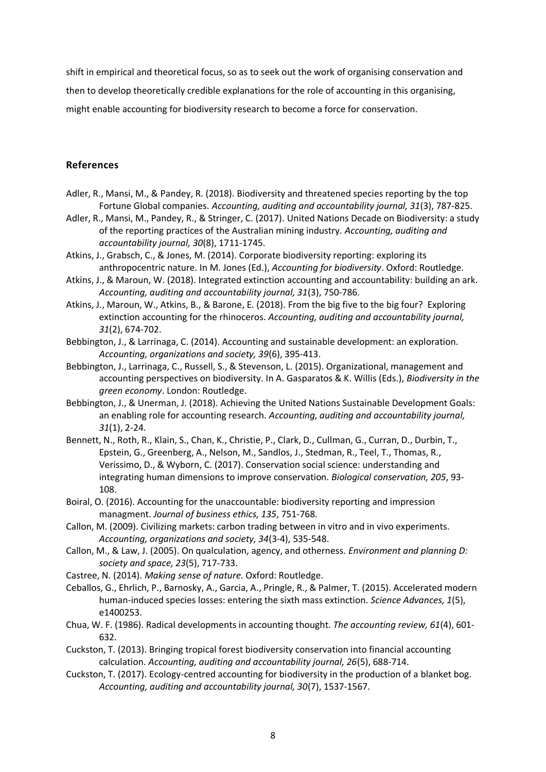shift in empirical and theoretical focus, so as to seek out the work of organising conservation and

then to develop theoretically credible explanations for the role of accounting in this organising,

might enable accounting for biodiversity research to become a force for conservation.

# **References**

- Adler, R., Mansi, M., & Pandey, R. (2018). Biodiversity and threatened species reporting by the top Fortune Global companies. *Accounting, auditing and accountability journal, 31*(3), 787-825.
- Adler, R., Mansi, M., Pandey, R., & Stringer, C. (2017). United Nations Decade on Biodiversity: a study of the reporting practices of the Australian mining industry. *Accounting, auditing and accountability journal, 30*(8), 1711-1745.
- Atkins, J., Grabsch, C., & Jones, M. (2014). Corporate biodiversity reporting: exploring its anthropocentric nature. In M. Jones (Ed.), *Accounting for biodiversity*. Oxford: Routledge.
- Atkins, J., & Maroun, W. (2018). Integrated extinction accounting and accountability: building an ark. *Accounting, auditing and accountability journal, 31*(3), 750-786.
- Atkins, J., Maroun, W., Atkins, B., & Barone, E. (2018). From the big five to the big four? Exploring extinction accounting for the rhinoceros. *Accounting, auditing and accountability journal, 31*(2), 674-702.
- Bebbington, J., & Larrinaga, C. (2014). Accounting and sustainable development: an exploration. *Accounting, organizations and society, 39*(6), 395-413.
- Bebbington, J., Larrinaga, C., Russell, S., & Stevenson, L. (2015). Organizational, management and accounting perspectives on biodiversity. In A. Gasparatos & K. Willis (Eds.), *Biodiversity in the green economy*. London: Routledge.
- Bebbington, J., & Unerman, J. (2018). Achieving the United Nations Sustainable Development Goals: an enabling role for accounting research. *Accounting, auditing and accountability journal, 31*(1), 2-24.
- Bennett, N., Roth, R., Klain, S., Chan, K., Christie, P., Clark, D., Cullman, G., Curran, D., Durbin, T., Epstein, G., Greenberg, A., Nelson, M., Sandlos, J., Stedman, R., Teel, T., Thomas, R., Verissimo, D., & Wyborn, C. (2017). Conservation social science: understanding and integrating human dimensions to improve conservation. *Biological conservation, 205*, 93- 108.
- Boiral, O. (2016). Accounting for the unaccountable: biodiversity reporting and impression managment. *Journal of business ethics, 135*, 751-768.
- Callon, M. (2009). Civilizing markets: carbon trading between in vitro and in vivo experiments. *Accounting, organizations and society, 34*(3-4), 535-548.
- Callon, M., & Law, J. (2005). On qualculation, agency, and otherness. *Environment and planning D: society and space, 23*(5), 717-733.
- Castree, N. (2014). *Making sense of nature*. Oxford: Routledge.
- Ceballos, G., Ehrlich, P., Barnosky, A., Garcia, A., Pringle, R., & Palmer, T. (2015). Accelerated modern human-induced species losses: entering the sixth mass extinction. *Science Advances, 1*(5), e1400253.
- Chua, W. F. (1986). Radical developments in accounting thought. *The accounting review, 61*(4), 601- 632.
- Cuckston, T. (2013). Bringing tropical forest biodiversity conservation into financial accounting calculation. *Accounting, auditing and accountability journal, 26*(5), 688-714.
- Cuckston, T. (2017). Ecology-centred accounting for biodiversity in the production of a blanket bog. *Accounting, auditing and accountability journal, 30*(7), 1537-1567.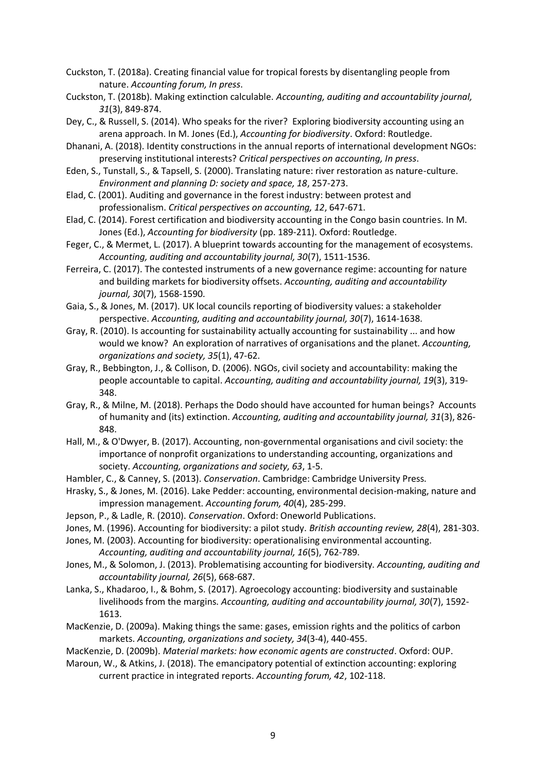Cuckston, T. (2018a). Creating financial value for tropical forests by disentangling people from nature. *Accounting forum, In press*.

Cuckston, T. (2018b). Making extinction calculable. *Accounting, auditing and accountability journal, 31*(3), 849-874.

Dey, C., & Russell, S. (2014). Who speaks for the river? Exploring biodiversity accounting using an arena approach. In M. Jones (Ed.), *Accounting for biodiversity*. Oxford: Routledge.

Dhanani, A. (2018). Identity constructions in the annual reports of international development NGOs: preserving institutional interests? *Critical perspectives on accounting, In press*.

- Eden, S., Tunstall, S., & Tapsell, S. (2000). Translating nature: river restoration as nature-culture. *Environment and planning D: society and space, 18*, 257-273.
- Elad, C. (2001). Auditing and governance in the forest industry: between protest and professionalism. *Critical perspectives on accounting, 12*, 647-671.

Elad, C. (2014). Forest certification and biodiversity accounting in the Congo basin countries. In M. Jones (Ed.), *Accounting for biodiversity* (pp. 189-211). Oxford: Routledge.

- Feger, C., & Mermet, L. (2017). A blueprint towards accounting for the management of ecosystems. *Accounting, auditing and accountability journal, 30*(7), 1511-1536.
- Ferreira, C. (2017). The contested instruments of a new governance regime: accounting for nature and building markets for biodiversity offsets. *Accounting, auditing and accountability journal, 30*(7), 1568-1590.
- Gaia, S., & Jones, M. (2017). UK local councils reporting of biodiversity values: a stakeholder perspective. *Accounting, auditing and accountability journal, 30*(7), 1614-1638.
- Gray, R. (2010). Is accounting for sustainability actually accounting for sustainability ... and how would we know? An exploration of narratives of organisations and the planet. *Accounting, organizations and society, 35*(1), 47-62.
- Gray, R., Bebbington, J., & Collison, D. (2006). NGOs, civil society and accountability: making the people accountable to capital. *Accounting, auditing and accountability journal, 19*(3), 319- 348.
- Gray, R., & Milne, M. (2018). Perhaps the Dodo should have accounted for human beings? Accounts of humanity and (its) extinction. *Accounting, auditing and accountability journal, 31*(3), 826- 848.
- Hall, M., & O'Dwyer, B. (2017). Accounting, non-governmental organisations and civil society: the importance of nonprofit organizations to understanding accounting, organizations and society. *Accounting, organizations and society, 63*, 1-5.
- Hambler, C., & Canney, S. (2013). *Conservation*. Cambridge: Cambridge University Press.
- Hrasky, S., & Jones, M. (2016). Lake Pedder: accounting, environmental decision-making, nature and impression management. *Accounting forum, 40*(4), 285-299.
- Jepson, P., & Ladle, R. (2010). *Conservation*. Oxford: Oneworld Publications.
- Jones, M. (1996). Accounting for biodiversity: a pilot study. *British accounting review, 28*(4), 281-303.
- Jones, M. (2003). Accounting for biodiversity: operationalising environmental accounting.

*Accounting, auditing and accountability journal, 16*(5), 762-789.

Jones, M., & Solomon, J. (2013). Problematising accounting for biodiversity. *Accounting, auditing and accountability journal, 26*(5), 668-687.

Lanka, S., Khadaroo, I., & Bohm, S. (2017). Agroecology accounting: biodiversity and sustainable livelihoods from the margins. *Accounting, auditing and accountability journal, 30*(7), 1592- 1613.

MacKenzie, D. (2009a). Making things the same: gases, emission rights and the politics of carbon markets. *Accounting, organizations and society, 34*(3-4), 440-455.

MacKenzie, D. (2009b). *Material markets: how economic agents are constructed*. Oxford: OUP.

Maroun, W., & Atkins, J. (2018). The emancipatory potential of extinction accounting: exploring current practice in integrated reports. *Accounting forum, 42*, 102-118.